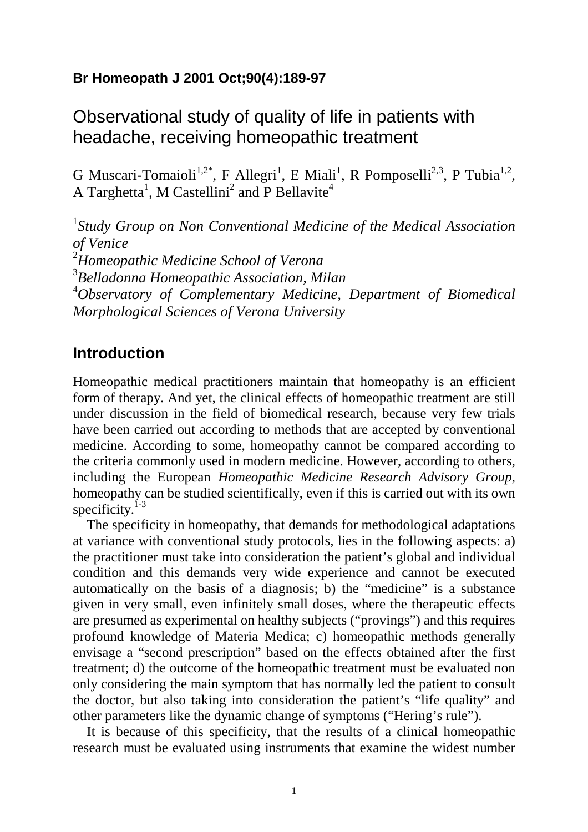# **Br Homeopath J 2001 Oct;90(4):189-97**

# Observational study of quality of life in patients with headache, receiving homeopathic treatment

G Muscari-Tomaioli<sup>1,2\*</sup>, F Allegri<sup>1</sup>, E Miali<sup>1</sup>, R Pomposelli<sup>2,3</sup>, P Tubia<sup>1,2</sup>, A Targhetta<sup>1</sup>, M Castellini<sup>2</sup> and P Bellavite<sup>4</sup>

<sup>1</sup>Study Group on Non Conventional Medicine of the Medical Association *of Venice* <sup>2</sup>*Homeopathic Medicine School of Verona* 3 *Belladonna Homeopathic Association, Milan* <sup>4</sup>*Observatory of Complementary Medicine, Department of Biomedical Morphological Sciences of Verona University*

## **Introduction**

Homeopathic medical practitioners maintain that homeopathy is an efficient form of therapy. And yet, the clinical effects of homeopathic treatment are still under discussion in the field of biomedical research, because very few trials have been carried out according to methods that are accepted by conventional medicine. According to some, homeopathy cannot be compared according to the criteria commonly used in modern medicine. However, according to others, including the European *Homeopathic Medicine Research Advisory Group*, homeopathy can be studied scientifically, even if this is carried out with its own specificity. $1-3$ 

The specificity in homeopathy, that demands for methodological adaptations at variance with conventional study protocols, lies in the following aspects: a) the practitioner must take into consideration the patient's global and individual condition and this demands very wide experience and cannot be executed automatically on the basis of a diagnosis; b) the "medicine" is a substance given in very small, even infinitely small doses, where the therapeutic effects are presumed as experimental on healthy subjects ("provings") and this requires profound knowledge of Materia Medica; c) homeopathic methods generally envisage a "second prescription" based on the effects obtained after the first treatment; d) the outcome of the homeopathic treatment must be evaluated non only considering the main symptom that has normally led the patient to consult the doctor, but also taking into consideration the patient's "life quality" and other parameters like the dynamic change of symptoms ("Hering's rule").

It is because of this specificity, that the results of a clinical homeopathic research must be evaluated using instruments that examine the widest number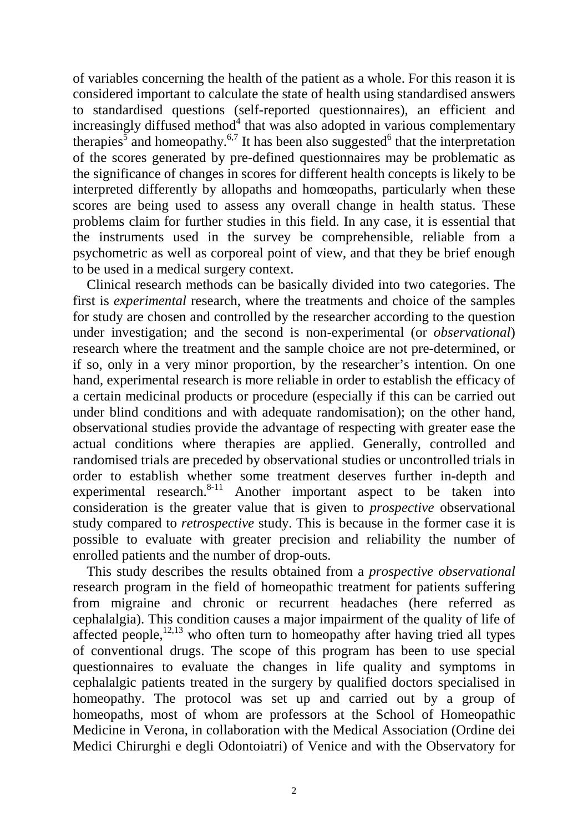of variables concerning the health of the patient as a whole. For this reason it is considered important to calculate the state of health using standardised answers to standardised questions (self-reported questionnaires), an efficient and increasingly diffused method $4$  that was also adopted in various complementary therapies<sup>5</sup> and homeopathy.<sup>6,7</sup> It has been also suggested<sup>6</sup> that the interpretation of the scores generated by pre-defined questionnaires may be problematic as the significance of changes in scores for different health concepts is likely to be interpreted differently by allopaths and homœopaths, particularly when these scores are being used to assess any overall change in health status. These problems claim for further studies in this field. In any case, it is essential that the instruments used in the survey be comprehensible, reliable from a psychometric as well as corporeal point of view, and that they be brief enough to be used in a medical surgery context.

Clinical research methods can be basically divided into two categories. The first is *experimental* research, where the treatments and choice of the samples for study are chosen and controlled by the researcher according to the question under investigation; and the second is non-experimental (or *observational*) research where the treatment and the sample choice are not pre-determined, or if so, only in a very minor proportion, by the researcher's intention. On one hand, experimental research is more reliable in order to establish the efficacy of a certain medicinal products or procedure (especially if this can be carried out under blind conditions and with adequate randomisation); on the other hand, observational studies provide the advantage of respecting with greater ease the actual conditions where therapies are applied. Generally, controlled and randomised trials are preceded by observational studies or uncontrolled trials in order to establish whether some treatment deserves further in-depth and experimental research. $8-11$  Another important aspect to be taken into consideration is the greater value that is given to *prospective* observational study compared to *retrospective* study. This is because in the former case it is possible to evaluate with greater precision and reliability the number of enrolled patients and the number of drop-outs.

This study describes the results obtained from a *prospective observational* research program in the field of homeopathic treatment for patients suffering from migraine and chronic or recurrent headaches (here referred as cephalalgia). This condition causes a major impairment of the quality of life of affected people,  $12,13$  who often turn to homeopathy after having tried all types of conventional drugs. The scope of this program has been to use special questionnaires to evaluate the changes in life quality and symptoms in cephalalgic patients treated in the surgery by qualified doctors specialised in homeopathy. The protocol was set up and carried out by a group of homeopaths, most of whom are professors at the School of Homeopathic Medicine in Verona, in collaboration with the Medical Association (Ordine dei Medici Chirurghi e degli Odontoiatri) of Venice and with the Observatory for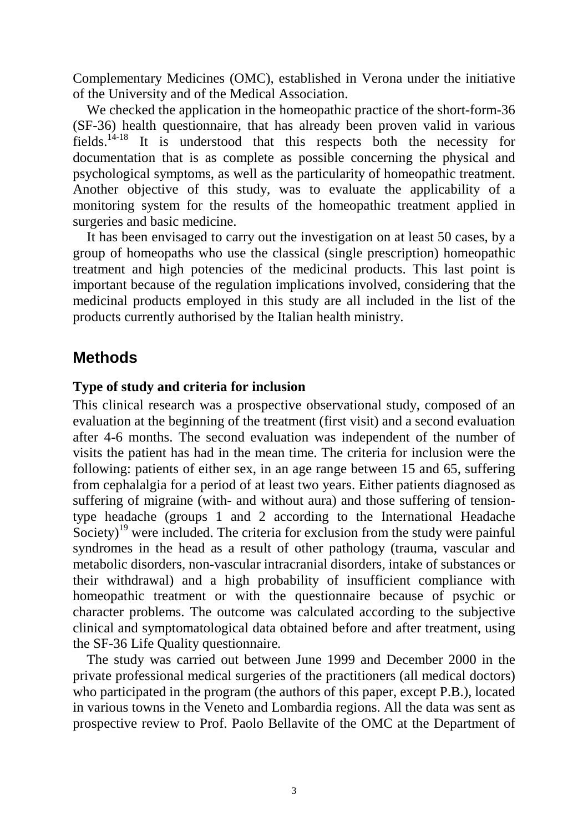Complementary Medicines (OMC), established in Verona under the initiative of the University and of the Medical Association.

We checked the application in the homeopathic practice of the short-form-36 (SF-36) health questionnaire, that has already been proven valid in various fields.<sup>14-18</sup> It is understood that this respects both the necessity for documentation that is as complete as possible concerning the physical and psychological symptoms, as well as the particularity of homeopathic treatment. Another objective of this study, was to evaluate the applicability of a monitoring system for the results of the homeopathic treatment applied in surgeries and basic medicine.

It has been envisaged to carry out the investigation on at least 50 cases, by a group of homeopaths who use the classical (single prescription) homeopathic treatment and high potencies of the medicinal products. This last point is important because of the regulation implications involved, considering that the medicinal products employed in this study are all included in the list of the products currently authorised by the Italian health ministry.

# **Methods**

## **Type of study and criteria for inclusion**

This clinical research was a prospective observational study, composed of an evaluation at the beginning of the treatment (first visit) and a second evaluation after 4-6 months. The second evaluation was independent of the number of visits the patient has had in the mean time. The criteria for inclusion were the following: patients of either sex, in an age range between 15 and 65, suffering from cephalalgia for a period of at least two years. Either patients diagnosed as suffering of migraine (with- and without aura) and those suffering of tensiontype headache (groups 1 and 2 according to the International Headache Society)<sup>19</sup> were included. The criteria for exclusion from the study were painful syndromes in the head as a result of other pathology (trauma, vascular and metabolic disorders, non-vascular intracranial disorders, intake of substances or their withdrawal) and a high probability of insufficient compliance with homeopathic treatment or with the questionnaire because of psychic or character problems. The outcome was calculated according to the subjective clinical and symptomatological data obtained before and after treatment, using the SF-36 Life Quality questionnaire*.*

The study was carried out between June 1999 and December 2000 in the private professional medical surgeries of the practitioners (all medical doctors) who participated in the program (the authors of this paper, except P.B.), located in various towns in the Veneto and Lombardia regions. All the data was sent as prospective review to Prof. Paolo Bellavite of the OMC at the Department of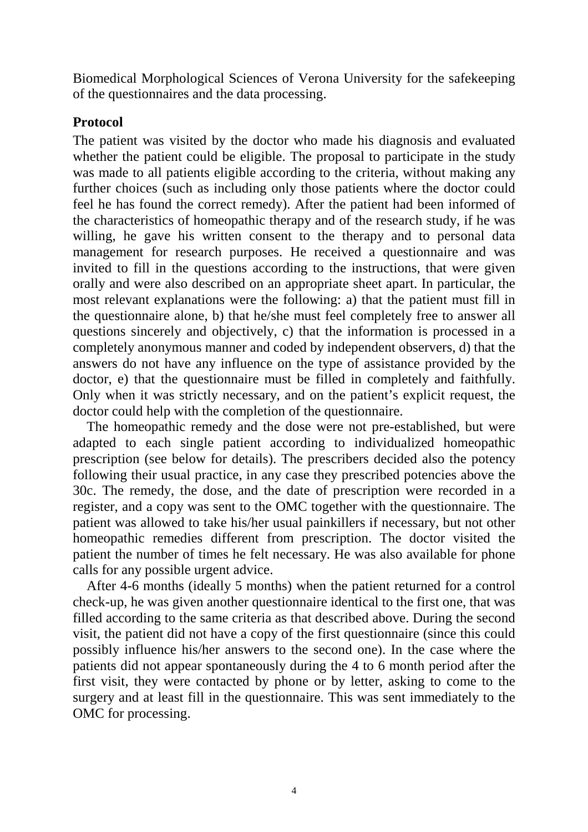Biomedical Morphological Sciences of Verona University for the safekeeping of the questionnaires and the data processing.

## **Protocol**

The patient was visited by the doctor who made his diagnosis and evaluated whether the patient could be eligible. The proposal to participate in the study was made to all patients eligible according to the criteria, without making any further choices (such as including only those patients where the doctor could feel he has found the correct remedy). After the patient had been informed of the characteristics of homeopathic therapy and of the research study, if he was willing, he gave his written consent to the therapy and to personal data management for research purposes. He received a questionnaire and was invited to fill in the questions according to the instructions, that were given orally and were also described on an appropriate sheet apart. In particular, the most relevant explanations were the following: a) that the patient must fill in the questionnaire alone, b) that he/she must feel completely free to answer all questions sincerely and objectively, c) that the information is processed in a completely anonymous manner and coded by independent observers, d) that the answers do not have any influence on the type of assistance provided by the doctor, e) that the questionnaire must be filled in completely and faithfully. Only when it was strictly necessary, and on the patient's explicit request, the doctor could help with the completion of the questionnaire.

The homeopathic remedy and the dose were not pre-established, but were adapted to each single patient according to individualized homeopathic prescription (see below for details). The prescribers decided also the potency following their usual practice, in any case they prescribed potencies above the 30c. The remedy, the dose, and the date of prescription were recorded in a register, and a copy was sent to the OMC together with the questionnaire. The patient was allowed to take his/her usual painkillers if necessary, but not other homeopathic remedies different from prescription. The doctor visited the patient the number of times he felt necessary. He was also available for phone calls for any possible urgent advice.

After 4-6 months (ideally 5 months) when the patient returned for a control check-up, he was given another questionnaire identical to the first one, that was filled according to the same criteria as that described above. During the second visit, the patient did not have a copy of the first questionnaire (since this could possibly influence his/her answers to the second one). In the case where the patients did not appear spontaneously during the 4 to 6 month period after the first visit, they were contacted by phone or by letter, asking to come to the surgery and at least fill in the questionnaire. This was sent immediately to the OMC for processing.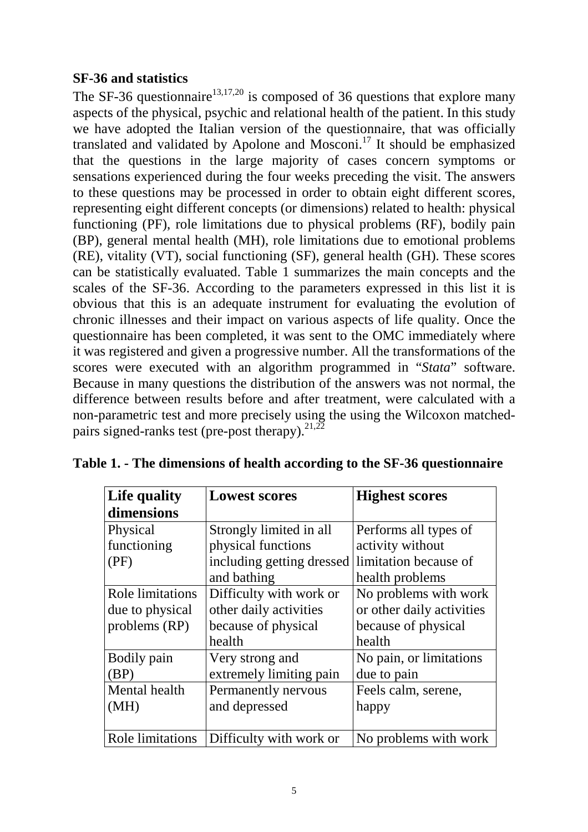## **SF-36 and statistics**

The SF-36 questionnaire<sup>13,17,20</sup> is composed of 36 questions that explore many aspects of the physical, psychic and relational health of the patient. In this study we have adopted the Italian version of the questionnaire, that was officially translated and validated by Apolone and Mosconi.<sup>17</sup> It should be emphasized that the questions in the large majority of cases concern symptoms or sensations experienced during the four weeks preceding the visit. The answers to these questions may be processed in order to obtain eight different scores, representing eight different concepts (or dimensions) related to health: physical functioning (PF), role limitations due to physical problems (RF), bodily pain (BP), general mental health (MH), role limitations due to emotional problems (RE), vitality (VT), social functioning (SF), general health (GH). These scores can be statistically evaluated. Table 1 summarizes the main concepts and the scales of the SF-36. According to the parameters expressed in this list it is obvious that this is an adequate instrument for evaluating the evolution of chronic illnesses and their impact on various aspects of life quality. Once the questionnaire has been completed, it was sent to the OMC immediately where it was registered and given a progressive number. All the transformations of the scores were executed with an algorithm programmed in "*Stata*" software. Because in many questions the distribution of the answers was not normal, the difference between results before and after treatment, were calculated with a non-parametric test and more precisely using the using the Wilcoxon matchedpairs signed-ranks test (pre-post therapy). $^{21,22}$ 

| Life quality     | <b>Lowest scores</b>      | <b>Highest scores</b>     |  |  |  |
|------------------|---------------------------|---------------------------|--|--|--|
| dimensions       |                           |                           |  |  |  |
| Physical         | Strongly limited in all   | Performs all types of     |  |  |  |
| functioning      | physical functions        | activity without          |  |  |  |
| (PF)             | including getting dressed | limitation because of     |  |  |  |
|                  | and bathing               | health problems           |  |  |  |
| Role limitations | Difficulty with work or   | No problems with work     |  |  |  |
| due to physical  | other daily activities    | or other daily activities |  |  |  |
| problems (RP)    | because of physical       | because of physical       |  |  |  |
|                  | health                    | health                    |  |  |  |
| Bodily pain      | Very strong and           | No pain, or limitations   |  |  |  |
| (BP)             | extremely limiting pain   | due to pain               |  |  |  |
| Mental health    | Permanently nervous       | Feels calm, serene,       |  |  |  |
| (MH)             | and depressed             | happy                     |  |  |  |
|                  |                           |                           |  |  |  |
| Role limitations | Difficulty with work or   | No problems with work     |  |  |  |

|  |  |  |  |  |  | Table 1. - The dimensions of health according to the SF-36 questionnaire |
|--|--|--|--|--|--|--------------------------------------------------------------------------|
|--|--|--|--|--|--|--------------------------------------------------------------------------|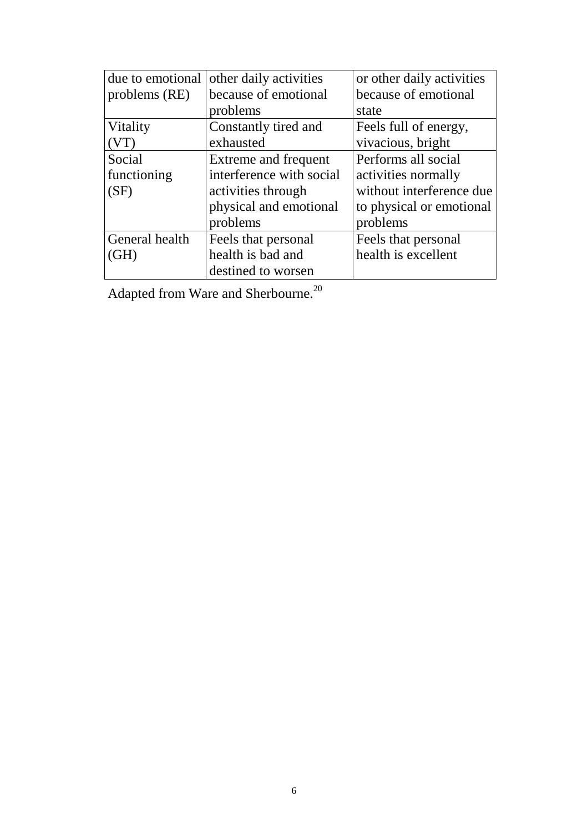| due to emotional | other daily activities   | or other daily activities |
|------------------|--------------------------|---------------------------|
| problems (RE)    | because of emotional     | because of emotional      |
|                  | problems                 | state                     |
| Vitality         | Constantly tired and     | Feels full of energy,     |
|                  | exhausted                | vivacious, bright         |
| Social           | Extreme and frequent     | Performs all social       |
| functioning      | interference with social | activities normally       |
| (SF)             | activities through       | without interference due  |
|                  | physical and emotional   | to physical or emotional  |
|                  | problems                 | problems                  |
| General health   | Feels that personal      | Feels that personal       |
| (GH)             | health is bad and        | health is excellent       |
|                  | destined to worsen       |                           |

Adapted from Ware and Sherbourne.<sup>20</sup>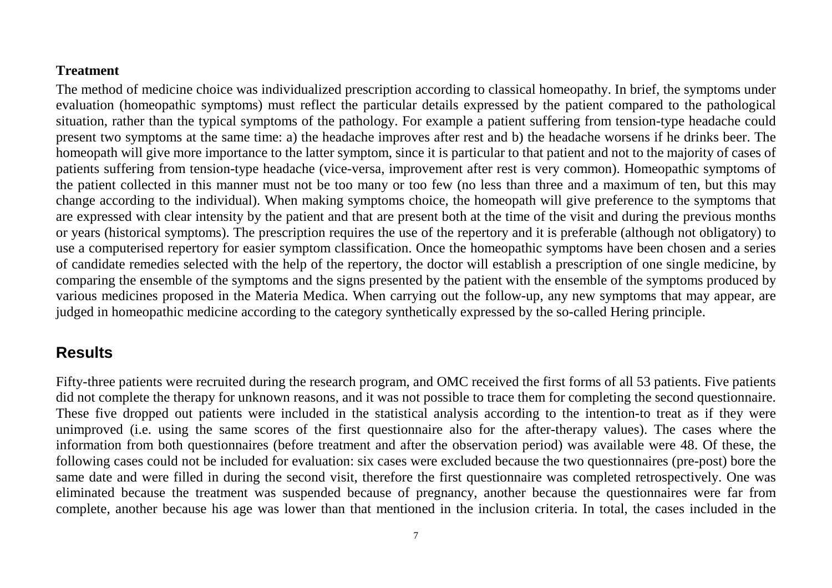### **Treatment**

The method of medicine choice was individualized prescription according to classical homeopathy. In brief, the symptoms under evaluation (homeopathic symptoms) must reflect the particular details expressed by the patient compared to the pathological situation, rather than the typical symptoms of the pathology. For example a patient suffering from tension-type headache could present two symptoms at the same time: a) the headache improves after rest and b) the headache worsens if he drinks beer. The homeopath will give more importance to the latter symptom, since it is particular to that patient and not to the majority of cases of patients suffering from tension-type headache (vice-versa, improvement after rest is very common). Homeopathic symptoms of the patient collected in this manner must not be too many or too few (no less than three and a maximum of ten, but this may change according to the individual). When making symptoms choice, the homeopath will give preference to the symptoms that are expressed with clear intensity by the patient and that are present both at the time of the visit and during the previous months or years (historical symptoms). The prescription requires the use of the repertory and it is preferable (although not obligatory) to use a computerised repertory for easier symptom classification. Once the homeopathic symptoms have been chosen and a series of candidate remedies selected with the help of the repertory, the doctor will establish a prescription of one single medicine, by comparing the ensemble of the symptoms and the signs presented by the patient with the ensemble of the symptoms produced by various medicines proposed in the Materia Medica. When carrying out the follow-up, any new symptoms that may appear, are judged in homeopathic medicine according to the category synthetically expressed by the so-called Hering principle.

# **Results**

Fifty-three patients were recruited during the research program, and OMC received the first forms of all 53 patients. Five patients did not complete the therapy for unknown reasons, and it was not possible to trace them for completing the second questionnaire. These five dropped out patients were included in the statistical analysis according to the intention-to treat as if they were unimproved (i.e. using the same scores of the first questionnaire also for the after-therapy values). The cases where the information from both questionnaires (before treatment and after the observation period) was available were 48. Of these, the following cases could not be included for evaluation: six cases were excluded because the two questionnaires (pre-post) bore the same date and were filled in during the second visit, therefore the first questionnaire was completed retrospectively. One was eliminated because the treatment was suspended because of pregnancy, another because the questionnaires were far from complete, another because his age was lower than that mentioned in the inclusion criteria. In total, the cases included in the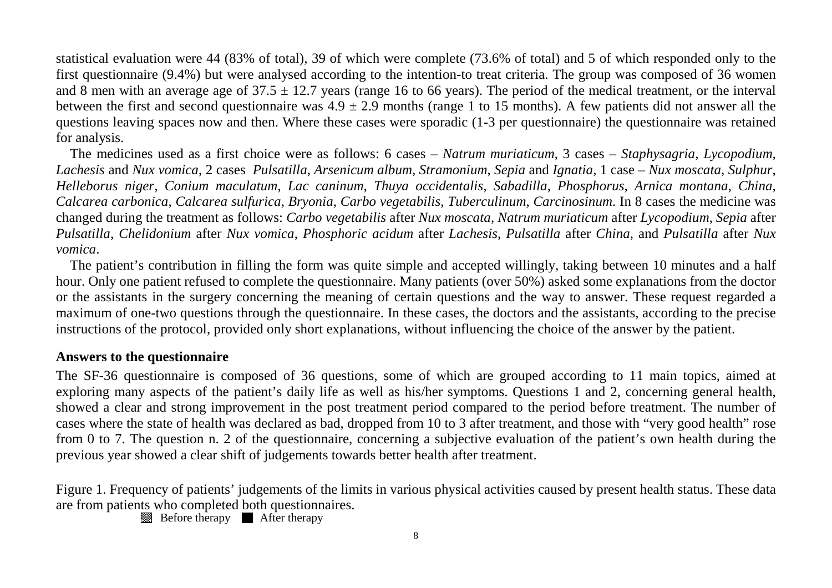statistical evaluation were 44 (83% of total), 39 of which were complete (73.6% of total) and 5 of which responded only to the first questionnaire (9.4%) but were analysed according to the intention-to treat criteria. The group was composed of 36 women and 8 men with an average age of  $37.5 \pm 12.7$  years (range 16 to 66 years). The period of the medical treatment, or the interval between the first and second questionnaire was  $4.9 \pm 2.9$  months (range 1 to 15 months). A few patients did not answer all the questions leaving spaces now and then. Where these cases were sporadic (1-3 per questionnaire) the questionnaire was retained for analysis.

The medicines used as a first choice were as follows: 6 cases – *Natrum muriaticum*, 3 cases – *Staphysagria, Lycopodium, Lachesis* and *Nux vomica*, 2 cases *Pulsatilla*, *Arsenicum album*, *Stramonium*, *Sepia* and *Ignatia*, 1 case – *Nux moscata*, *Sulphur*, *Helleborus niger*, *Conium maculatum*, *Lac caninum*, *Thuya occidentalis*, *Sabadilla*, *Phosphorus*, *Arnica montana*, *China*, *Calcarea carbonica*, *Calcarea sulfurica*, *Bryonia*, *Carbo vegetabilis*, *Tuberculinum*, *Carcinosinum*. In 8 cases the medicine was changed during the treatment as follows: *Carbo vegetabilis* after *Nux moscata*, *Natrum muriaticum* after *Lycopodium*, *Sepia* after *Pulsatilla*, *Chelidonium* after *Nux vomica*, *Phosphoric acidum* after *Lachesis*, *Pulsatilla* after *China*, and *Pulsatilla* after *Nux vomica*.

The patient's contribution in filling the form was quite simple and accepted willingly, taking between 10 minutes and a half hour. Only one patient refused to complete the questionnaire. Many patients (over 50%) asked some explanations from the doctor or the assistants in the surgery concerning the meaning of certain questions and the way to answer. These request regarded a maximum of one-two questions through the questionnaire. In these cases, the doctors and the assistants, according to the precise instructions of the protocol, provided only short explanations, without influencing the choice of the answer by the patient.

### **Answers to the questionnaire**

The SF-36 questionnaire is composed of 36 questions, some of which are grouped according to 11 main topics, aimed at exploring many aspects of the patient's daily life as well as his/her symptoms. Questions 1 and 2, concerning general health, showed a clear and strong improvement in the post treatment period compared to the period before treatment. The number of cases where the state of health was declared as bad, dropped from 10 to 3 after treatment, and those with "very good health" rose from 0 to 7. The question n. 2 of the questionnaire, concerning a subjective evaluation of the patient's own health during the previous year showed a clear shift of judgements towards better health after treatment.

Figure 1. Frequency of patients' judgements of the limits in various physical activities caused by present health status. These data are from patients who completed both questionnaires.

Before therapy **A** After therapy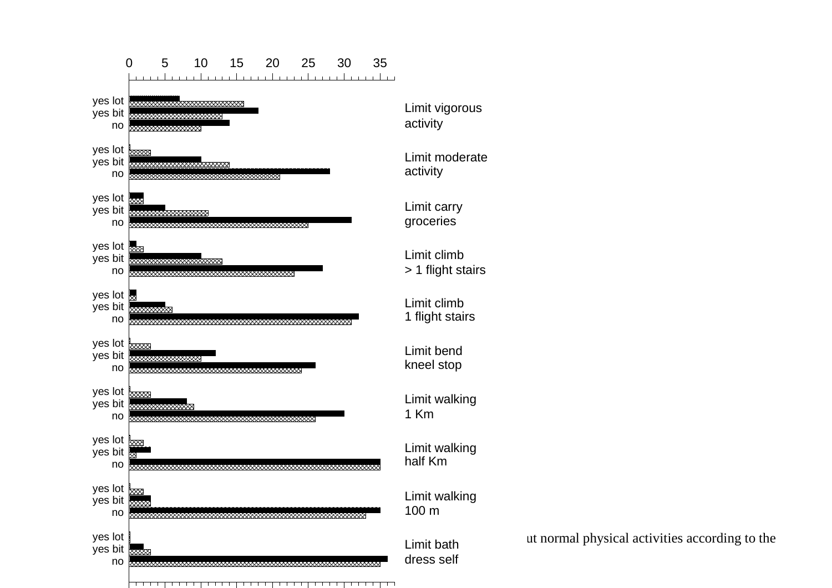

ut normal physical activities according to the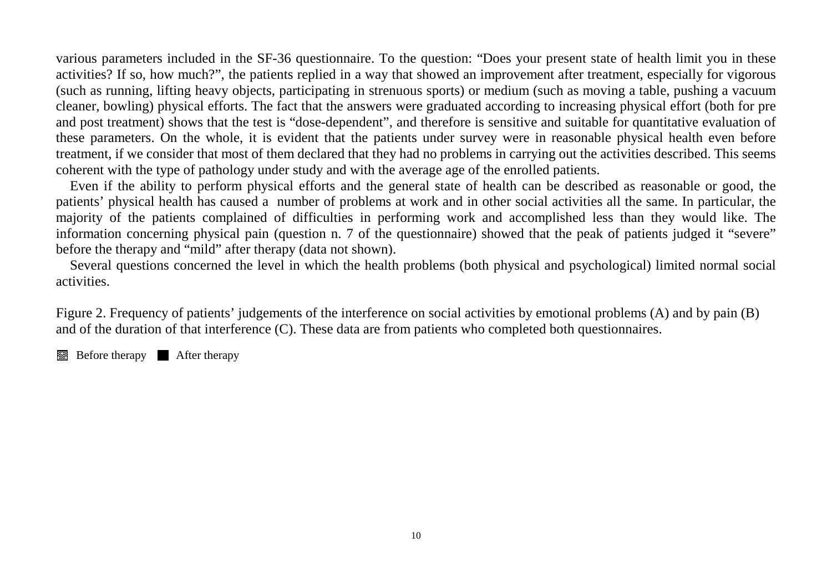various parameters included in the SF-36 questionnaire. To the question: "Does your present state of health limit you in these activities? If so, how much?", the patients replied in a way that showed an improvement after treatment, especially for vigorous (such as running, lifting heavy objects, participating in strenuous sports) or medium (such as moving a table, pushing a vacuum cleaner, bowling) physical efforts. The fact that the answers were graduated according to increasing physical effort (both for pre and post treatment) shows that the test is "dose-dependent", and therefore is sensitive and suitable for quantitative evaluation of these parameters. On the whole, it is evident that the patients under survey were in reasonable physical health even before treatment, if we consider that most of them declared that they had no problems in carrying out the activities described. This seems coherent with the type of pathology under study and with the average age of the enrolled patients.

 Even if the ability to perform physical efforts and the general state of health can be described as reasonable or good, the patients' physical health has caused a number of problems at work and in other social activities all the same. In particular, the majority of the patients complained of difficulties in performing work and accomplished less than they would like. The information concerning physical pain (question n. 7 of the questionnaire) showed that the peak of patients judged it "severe" before the therapy and "mild" after therapy (data not shown).

Several questions concerned the level in which the health problems (both physical and psychological) limited normal social activities.

Figure 2. Frequency of patients' judgements of the interference on social activities by emotional problems (A) and by pain (B) and of the duration of that interference (C). These data are from patients who completed both questionnaires.

Before therapy **A** After therapy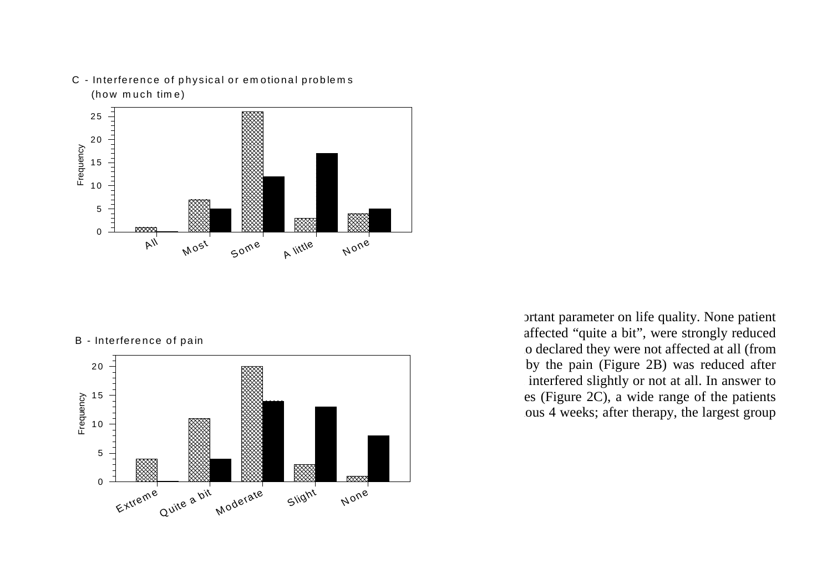

C - Interference of physical or emotional problems (how much time)

#### B - Interference of pain



prtant parameter on life quality. None patient declared the patients of pain and patients who declared that the patients who declared that the patients who declared that the patients who declared that the patients who declared the patients of pain and patients of patie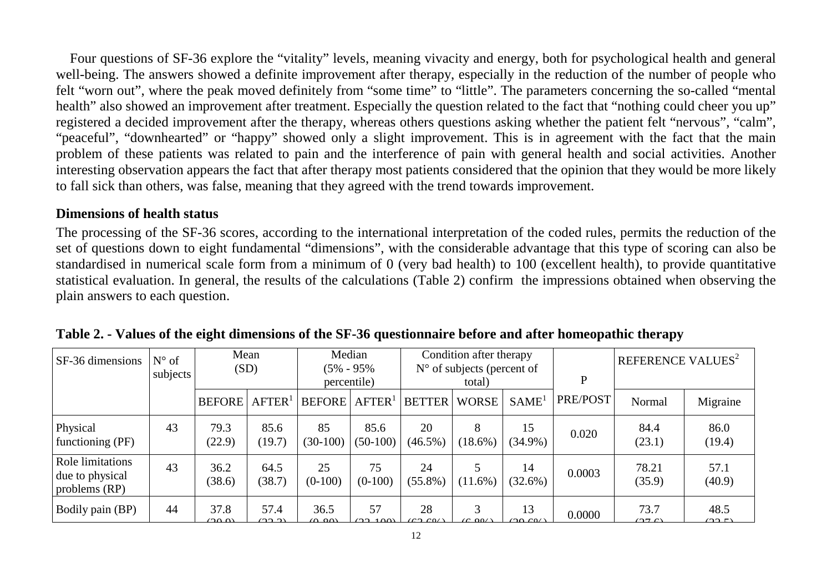Four questions of SF-36 explore the "vitality" levels, meaning vivacity and energy, both for psychological health and general well-being. The answers showed a definite improvement after therapy, especially in the reduction of the number of people who felt "worn out", where the peak moved definitely from "some time" to "little". The parameters concerning the so-called "mental health" also showed an improvement after treatment. Especially the question related to the fact that "nothing could cheer you up" registered a decided improvement after the therapy, whereas others questions asking whether the patient felt "nervous", "calm", "peaceful", "downhearted" or "happy" showed only a slight improvement. This is in agreement with the fact that the main problem of these patients was related to pain and the interference of pain with general health and social activities. Another interesting observation appears the fact that after therapy most patients considered that the opinion that they would be more likely to fall sick than others, was false, meaning that they agreed with the trend towards improvement.

### **Dimensions of health status**

The processing of the SF-36 scores, according to the international interpretation of the coded rules, permits the reduction of the set of questions down to eight fundamental "dimensions", with the considerable advantage that this type of scoring can also be standardised in numerical scale form from a minimum of 0 (very bad health) to 100 (excellent health), to provide quantitative statistical evaluation. In general, the results of the calculations (Table 2) confirm the impressions obtained when observing the plain answers to each question.

| <b>SF-36 dimensions</b>                                       | $N^{\circ}$ of<br>subjects | Mean<br>(SD)   |                       | Median<br>$(5\% - 95\%$<br>percentile) |                       | Condition after therapy<br>$N^{\circ}$ of subjects (percent of |                    |                   | P        | REFERENCE VALUES <sup>2</sup> |                |
|---------------------------------------------------------------|----------------------------|----------------|-----------------------|----------------------------------------|-----------------------|----------------------------------------------------------------|--------------------|-------------------|----------|-------------------------------|----------------|
|                                                               |                            |                |                       |                                        |                       | total)                                                         |                    |                   |          |                               |                |
|                                                               |                            | <b>BEFORE</b>  | $A$ FTER <sup>1</sup> | <b>BEFORE</b>                          | $A$ FTER <sup>1</sup> | <b>BETTER</b>                                                  | WORSE <sup>1</sup> | SAME <sup>1</sup> | PRE/POST | Normal                        | Migraine       |
| Physical<br>functioning (PF)                                  | 43                         | 79.3<br>(22.9) | 85.6<br>(19.7)        | 85<br>$(30-100)$                       | 85.6<br>$(50-100)$    | 20<br>$(46.5\%)$                                               | 8<br>$(18.6\%)$    | 15<br>$(34.9\%)$  | 0.020    | 84.4<br>(23.1)                | 86.0<br>(19.4) |
| <b>Role limitations</b><br>due to physical<br>problems $(RP)$ | 43                         | 36.2<br>(38.6) | 64.5<br>(38.7)        | 25<br>$(0-100)$                        | 75<br>$(0-100)$       | 24<br>$(55.8\%)$                                               | $(11.6\%)$         | 14<br>$(32.6\%)$  | 0.0003   | 78.21<br>(35.9)               | 57.1<br>(40.9) |
| <b>Bodily pain (BP)</b>                                       | 44                         | 37.8<br>(20.0) | 57.4<br>(22.2)        | 36.5<br>(0.00)                         | 57<br>(22.100)        | 28<br>$\sim$ 0/                                                | 3<br>$\sim$ 00/    | 13<br>(20.6)      | 0.0000   | 73.7<br>(27.6)                | 48.5<br>(0.05) |

**Table 2. - Values of the eight dimensions of the SF-36 questionnaire before and after homeopathic therapy**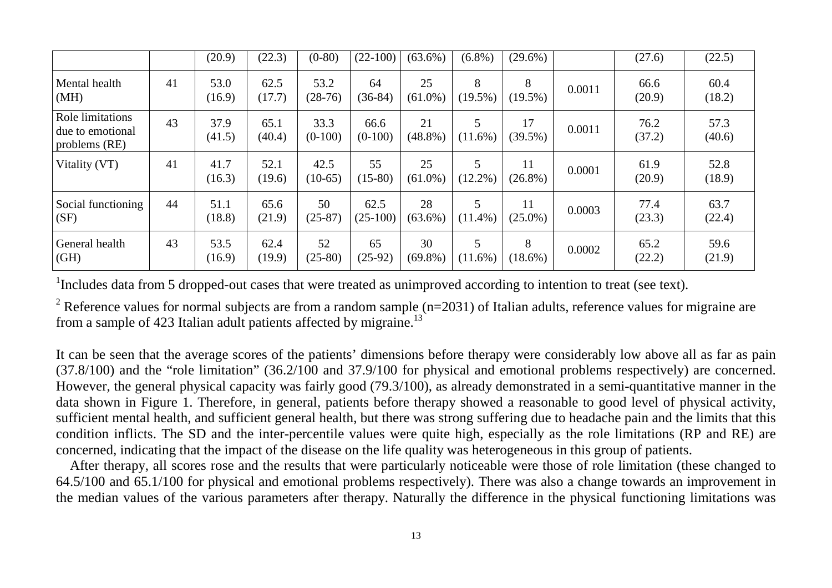|                                                       |    | (20.9)         | (22.3)         | $(0-80)$          | $(22-100)$         | $(63.6\%)$       | $(6.8\%)$       | $(29.6\%)$       |        | (27.6)         | (22.5)         |
|-------------------------------------------------------|----|----------------|----------------|-------------------|--------------------|------------------|-----------------|------------------|--------|----------------|----------------|
| Mental health<br>(MH)                                 | 41 | 53.0<br>(16.9) | 62.5<br>(17.7) | 53.2<br>$(28-76)$ | 64<br>$(36-84)$    | 25<br>$(61.0\%)$ | 8<br>$(19.5\%)$ | 8<br>$(19.5\%)$  | 0.0011 | 66.6<br>(20.9) | 60.4<br>(18.2) |
| Role limitations<br>due to emotional<br>problems (RE) | 43 | 37.9<br>(41.5) | 65.1<br>(40.4) | 33.3<br>$(0-100)$ | 66.6<br>$(0-100)$  | 21<br>$(48.8\%)$ | 5<br>$(11.6\%)$ | 17<br>$(39.5\%)$ | 0.0011 | 76.2<br>(37.2) | 57.3<br>(40.6) |
| Vitality (VT)                                         | 41 | 41.7<br>(16.3) | 52.1<br>(19.6) | 42.5<br>$(10-65)$ | 55<br>$(15-80)$    | 25<br>$(61.0\%)$ | 5<br>$(12.2\%)$ | 11<br>$(26.8\%)$ | 0.0001 | 61.9<br>(20.9) | 52.8<br>(18.9) |
| Social functioning<br>(SF)                            | 44 | 51.1<br>(18.8) | 65.6<br>(21.9) | 50<br>$(25-87)$   | 62.5<br>$(25-100)$ | 28<br>$(63.6\%)$ | 5<br>$(11.4\%)$ | 11<br>$(25.0\%)$ | 0.0003 | 77.4<br>(23.3) | 63.7<br>(22.4) |
| General health<br>$\vert$ (GH)                        | 43 | 53.5<br>(16.9) | 62.4<br>(19.9) | 52<br>$(25-80)$   | 65<br>$(25-92)$    | 30<br>$(69.8\%)$ | 5<br>$(11.6\%)$ | 8<br>$(18.6\%)$  | 0.0002 | 65.2<br>(22.2) | 59.6<br>(21.9) |

<sup>1</sup>Includes data from 5 dropped-out cases that were treated as unimproved according to intention to treat (see text).

<sup>2</sup> Reference values for normal subjects are from a random sample (n=2031) of Italian adults, reference values for migraine are from a sample of 423 Italian adult patients affected by migraine.<sup>13</sup>

It can be seen that the average scores of the patients' dimensions before therapy were considerably low above all as far as pain (37.8/100) and the "role limitation" (36.2/100 and 37.9/100 for physical and emotional problems respectively) are concerned. However, the general physical capacity was fairly good (79.3/100), as already demonstrated in a semi-quantitative manner in the data shown in Figure 1. Therefore, in general, patients before therapy showed a reasonable to good level of physical activity, sufficient mental health, and sufficient general health, but there was strong suffering due to headache pain and the limits that this condition inflicts. The SD and the inter-percentile values were quite high, especially as the role limitations (RP and RE) are concerned, indicating that the impact of the disease on the life quality was heterogeneous in this group of patients.

After therapy, all scores rose and the results that were particularly noticeable were those of role limitation (these changed to 64.5/100 and 65.1/100 for physical and emotional problems respectively). There was also a change towards an improvement in the median values of the various parameters after therapy. Naturally the difference in the physical functioning limitations was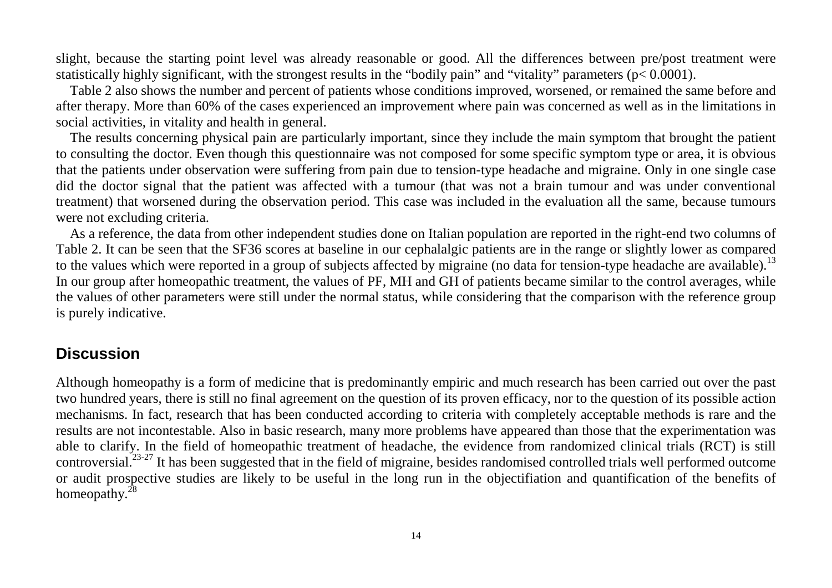slight, because the starting point level was already reasonable or good. All the differences between pre/post treatment were statistically highly significant, with the strongest results in the "bodily pain" and "vitality" parameters ( $p < 0.0001$ ).

 Table 2 also shows the number and percent of patients whose conditions improved, worsened, or remained the same before and after therapy. More than 60% of the cases experienced an improvement where pain was concerned as well as in the limitations in social activities, in vitality and health in general.

The results concerning physical pain are particularly important, since they include the main symptom that brought the patient to consulting the doctor. Even though this questionnaire was not composed for some specific symptom type or area, it is obvious that the patients under observation were suffering from pain due to tension-type headache and migraine. Only in one single case did the doctor signal that the patient was affected with a tumour (that was not a brain tumour and was under conventional treatment) that worsened during the observation period. This case was included in the evaluation all the same, because tumours were not excluding criteria.

As a reference, the data from other independent studies done on Italian population are reported in the right-end two columns of Table 2. It can be seen that the SF36 scores at baseline in our cephalalgic patients are in the range or slightly lower as compared to the values which were reported in a group of subjects affected by migraine (no data for tension-type headache are available).<sup>13</sup> In our group after homeopathic treatment, the values of PF, MH and GH of patients became similar to the control averages, while the values of other parameters were still under the normal status, while considering that the comparison with the reference group is purely indicative.

# **Discussion**

Although homeopathy is a form of medicine that is predominantly empiric and much research has been carried out over the past two hundred years, there is still no final agreement on the question of its proven efficacy, nor to the question of its possible action mechanisms. In fact, research that has been conducted according to criteria with completely acceptable methods is rare and the results are not incontestable. Also in basic research, many more problems have appeared than those that the experimentation was able to clarify. In the field of homeopathic treatment of headache, the evidence from randomized clinical trials (RCT) is still controversial.<sup>23-27</sup> It has been suggested that in the field of migraine, besides randomised controlled trials well performed outcome or audit prospective studies are likely to be useful in the long run in the objectifiation and quantification of the benefits of homeopathy.<sup>28</sup>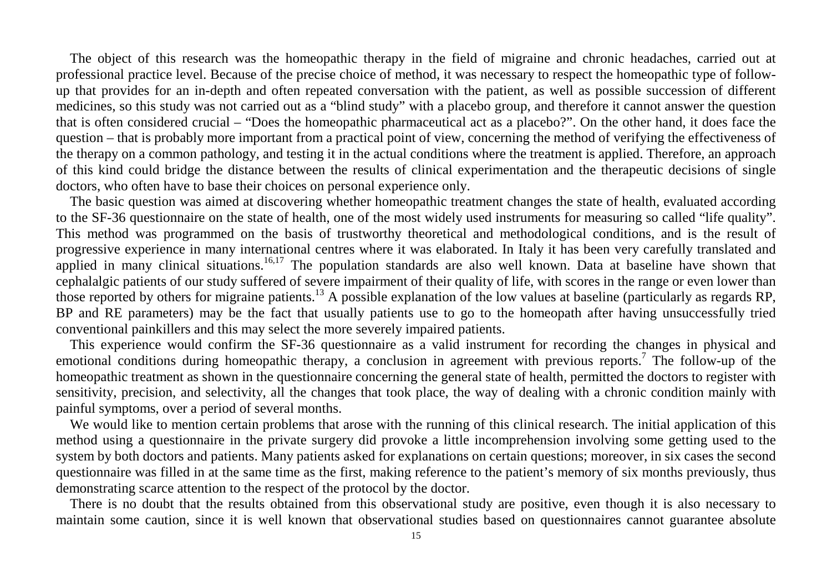The object of this research was the homeopathic therapy in the field of migraine and chronic headaches, carried out at professional practice level. Because of the precise choice of method, it was necessary to respect the homeopathic type of followup that provides for an in-depth and often repeated conversation with the patient, as well as possible succession of different medicines, so this study was not carried out as a "blind study" with a placebo group, and therefore it cannot answer the question that is often considered crucial – "Does the homeopathic pharmaceutical act as a placebo?". On the other hand, it does face the question – that is probably more important from a practical point of view, concerning the method of verifying the effectiveness of the therapy on a common pathology, and testing it in the actual conditions where the treatment is applied. Therefore, an approach of this kind could bridge the distance between the results of clinical experimentation and the therapeutic decisions of single doctors, who often have to base their choices on personal experience only.

 The basic question was aimed at discovering whether homeopathic treatment changes the state of health, evaluated according to the SF-36 questionnaire on the state of health, one of the most widely used instruments for measuring so called "life quality". This method was programmed on the basis of trustworthy theoretical and methodological conditions, and is the result of progressive experience in many international centres where it was elaborated. In Italy it has been very carefully translated and applied in many clinical situations.<sup>16,17</sup> The population standards are also well known. Data at baseline have shown that cephalalgic patients of our study suffered of severe impairment of their quality of life, with scores in the range or even lower than those reported by others for migraine patients.<sup>13</sup> A possible explanation of the low values at baseline (particularly as regards RP, BP and RE parameters) may be the fact that usually patients use to go to the homeopath after having unsuccessfully tried conventional painkillers and this may select the more severely impaired patients.

 This experience would confirm the SF-36 questionnaire as a valid instrument for recording the changes in physical and emotional conditions during homeopathic therapy, a conclusion in agreement with previous reports.<sup>7</sup> The follow-up of the homeopathic treatment as shown in the questionnaire concerning the general state of health, permitted the doctors to register with sensitivity, precision, and selectivity, all the changes that took place, the way of dealing with a chronic condition mainly with painful symptoms, over a period of several months.

We would like to mention certain problems that arose with the running of this clinical research. The initial application of this method using a questionnaire in the private surgery did provoke a little incomprehension involving some getting used to the system by both doctors and patients. Many patients asked for explanations on certain questions; moreover, in six cases the second questionnaire was filled in at the same time as the first, making reference to the patient's memory of six months previously, thus demonstrating scarce attention to the respect of the protocol by the doctor.

 There is no doubt that the results obtained from this observational study are positive, even though it is also necessary to maintain some caution, since it is well known that observational studies based on questionnaires cannot guarantee absolute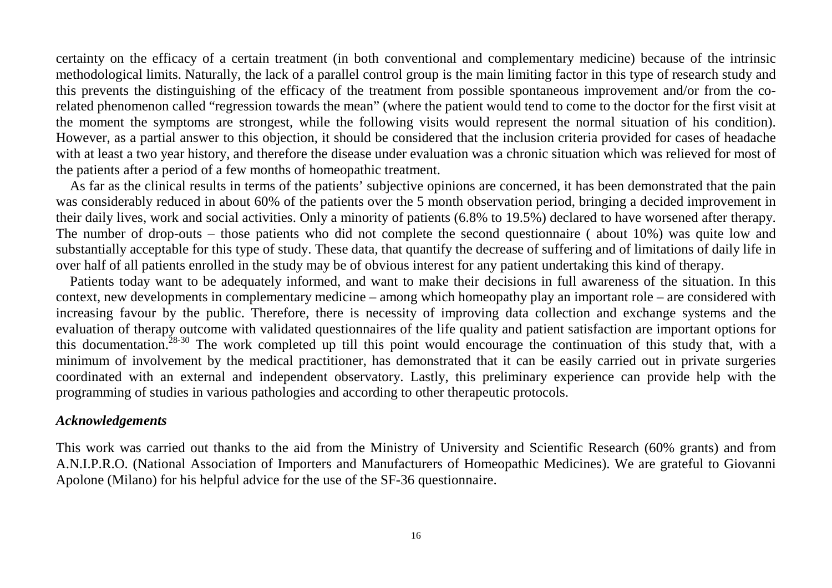certainty on the efficacy of a certain treatment (in both conventional and complementary medicine) because of the intrinsic methodological limits. Naturally, the lack of a parallel control group is the main limiting factor in this type of research study and this prevents the distinguishing of the efficacy of the treatment from possible spontaneous improvement and/or from the corelated phenomenon called "regression towards the mean" (where the patient would tend to come to the doctor for the first visit at the moment the symptoms are strongest, while the following visits would represent the normal situation of his condition). However, as a partial answer to this objection, it should be considered that the inclusion criteria provided for cases of headache with at least a two year history, and therefore the disease under evaluation was a chronic situation which was relieved for most of the patients after a period of a few months of homeopathic treatment.

 As far as the clinical results in terms of the patients' subjective opinions are concerned, it has been demonstrated that the pain was considerably reduced in about 60% of the patients over the 5 month observation period, bringing a decided improvement in their daily lives, work and social activities. Only a minority of patients (6.8% to 19.5%) declared to have worsened after therapy. The number of drop-outs – those patients who did not complete the second questionnaire ( about 10%) was quite low and substantially acceptable for this type of study. These data, that quantify the decrease of suffering and of limitations of daily life in over half of all patients enrolled in the study may be of obvious interest for any patient undertaking this kind of therapy.

 Patients today want to be adequately informed, and want to make their decisions in full awareness of the situation. In this context, new developments in complementary medicine – among which homeopathy play an important role – are considered with increasing favour by the public. Therefore, there is necessity of improving data collection and exchange systems and the evaluation of therapy outcome with validated questionnaires of the life quality and patient satisfaction are important options for this documentation.<sup>28-30</sup> The work completed up till this point would encourage the continuation of this study that, with a minimum of involvement by the medical practitioner, has demonstrated that it can be easily carried out in private surgeries coordinated with an external and independent observatory. Lastly, this preliminary experience can provide help with the programming of studies in various pathologies and according to other therapeutic protocols.

#### *Acknowledgements*

This work was carried out thanks to the aid from the Ministry of University and Scientific Research (60% grants) and from A.N.I.P.R.O. (National Association of Importers and Manufacturers of Homeopathic Medicines). We are grateful to Giovanni Apolone (Milano) for his helpful advice for the use of the SF-36 questionnaire.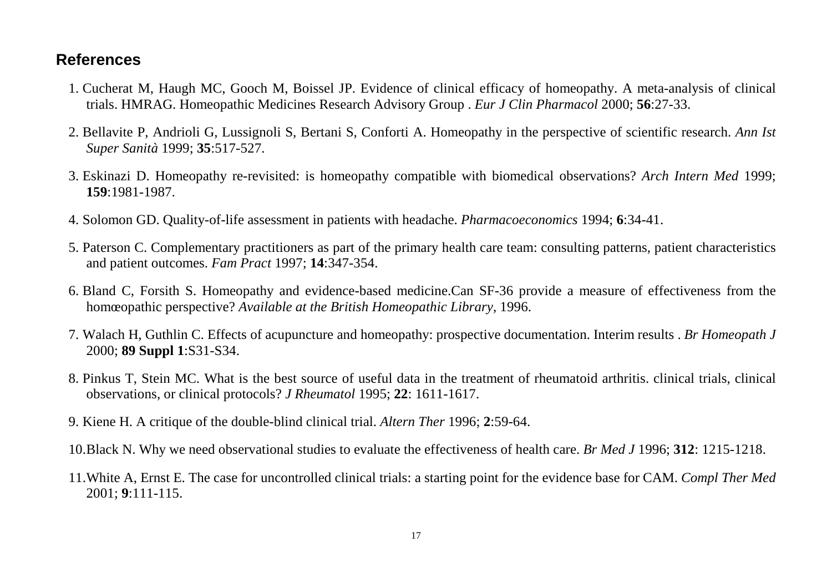# **References**

- 1. Cucherat M, Haugh MC, Gooch M, Boissel JP. Evidence of clinical efficacy of homeopathy. A meta-analysis of clinical trials. HMRAG. Homeopathic Medicines Research Advisory Group . *Eur J Clin Pharmacol* 2000; **56**:27-33.
- 2. Bellavite P, Andrioli G, Lussignoli S, Bertani S, Conforti A. Homeopathy in the perspective of scientific research. *Ann Ist Super Sanità* 1999; **35**:517-527.
- 3. Eskinazi D. Homeopathy re-revisited: is homeopathy compatible with biomedical observations? *Arch Intern Med* 1999; **159**:1981-1987.
- 4. Solomon GD. Quality-of-life assessment in patients with headache. *Pharmacoeconomics* 1994; **6**:34-41.
- 5. Paterson C. Complementary practitioners as part of the primary health care team: consulting patterns, patient characteristics and patient outcomes. *Fam Pract* 1997; **14**:347-354.
- 6. Bland C, Forsith S. Homeopathy and evidence-based medicine.Can SF-36 provide a measure of effectiveness from the homœopathic perspective? *Available at the British Homeopathic Library*, 1996.
- 7. Walach H, Guthlin C. Effects of acupuncture and homeopathy: prospective documentation. Interim results . *Br Homeopath J*2000; **89 Suppl 1**:S31-S34.
- 8. Pinkus T, Stein MC. What is the best source of useful data in the treatment of rheumatoid arthritis. clinical trials, clinical observations, or clinical protocols? *J Rheumatol* 1995; **22**: 1611-1617.
- 9. Kiene H. A critique of the double-blind clinical trial. *Altern Ther* 1996; **2**:59-64.
- 10. Black N. Why we need observational studies to evaluate the effectiveness of health care. *Br Med J* 1996; **312**: 1215-1218.
- 11. White A, Ernst E. The case for uncontrolled clinical trials: a starting point for the evidence base for CAM. *Compl Ther Med*2001; **9**:111-115.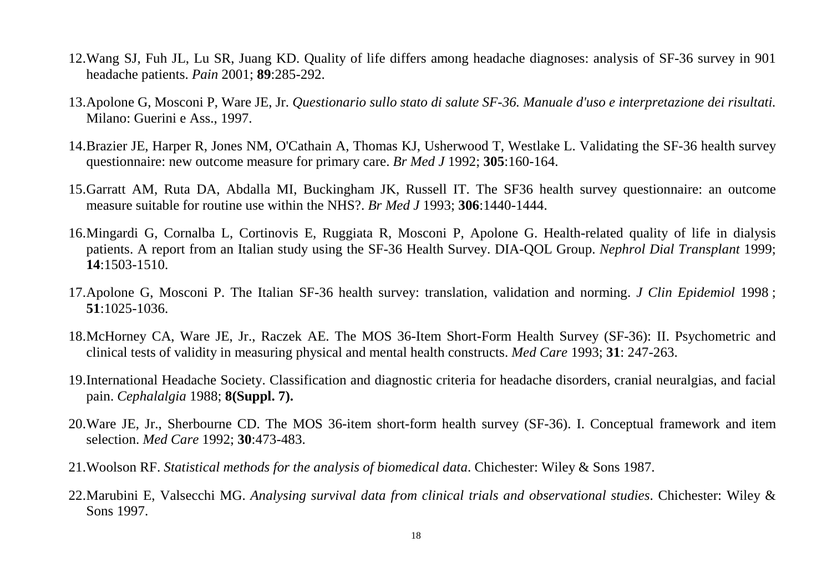- 12. Wang SJ, Fuh JL, Lu SR, Juang KD. Quality of life differs among headache diagnoses: analysis of SF-36 survey in 901 headache patients. *Pain* 2001; **89**:285-292.
- 13. Apolone G, Mosconi P, Ware JE, Jr. *Questionario sullo stato di salute SF-36. Manuale d'uso e interpretazione dei risultati.*Milano: Guerini e Ass., 1997.
- 14. Brazier JE, Harper R, Jones NM, O'Cathain A, Thomas KJ, Usherwood T, Westlake L. Validating the SF-36 health survey questionnaire: new outcome measure for primary care. *Br Med J* 1992; **305**:160-164.
- 15. Garratt AM, Ruta DA, Abdalla MI, Buckingham JK, Russell IT. The SF36 health survey questionnaire: an outcome measure suitable for routine use within the NHS?. *Br Med J* 1993; **306**:1440-1444.
- 16. Mingardi G, Cornalba L, Cortinovis E, Ruggiata R, Mosconi P, Apolone G. Health-related quality of life in dialysis patients. A report from an Italian study using the SF-36 Health Survey. DIA-QOL Group. *Nephrol Dial Transplant* 1999; **14**:1503-1510.
- 17. Apolone G, Mosconi P. The Italian SF-36 health survey: translation, validation and norming. *J Clin Epidemiol* 1998 ; **51**:1025-1036.
- 18. McHorney CA, Ware JE, Jr., Raczek AE. The MOS 36-Item Short-Form Health Survey (SF-36): II. Psychometric and clinical tests of validity in measuring physical and mental health constructs. *Med Care* 1993; **31**: 247-263.
- 19. International Headache Society. Classification and diagnostic criteria for headache disorders, cranial neuralgias, and facial pain. *Cephalalgia* 1988; **8(Suppl. 7).**
- 20. Ware JE, Jr., Sherbourne CD. The MOS 36-item short-form health survey (SF-36). I. Conceptual framework and item selection. *Med Care* 1992; **30**:473-483.
- 21. Woolson RF. *Statistical methods for the analysis of biomedical data*. Chichester: Wiley & Sons 1987.
- 22. Marubini E, Valsecchi MG. *Analysing survival data from clinical trials and observational studies*. Chichester: Wiley & Sons 1997.